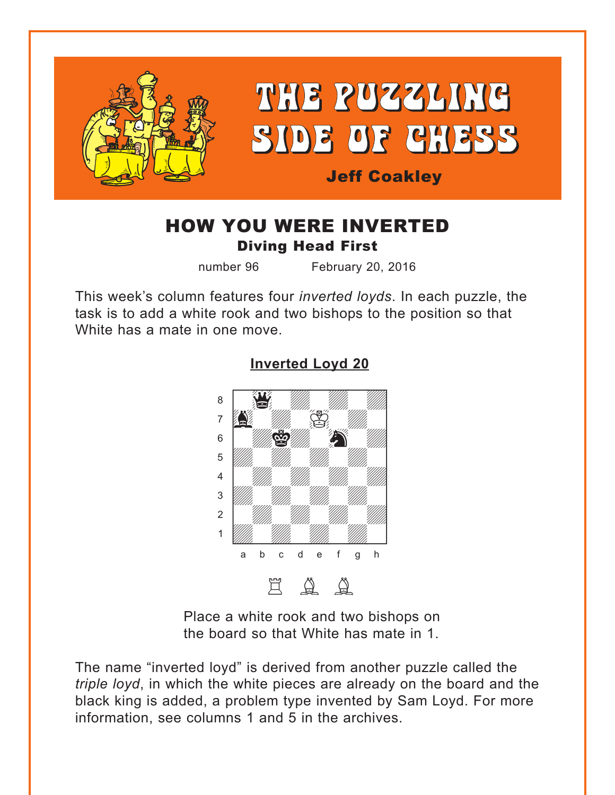<span id="page-0-0"></span>

## HOW YOU WERE INVERTED Diving Head First

number 96 February 20, 2016

This week's column features four *inverted loyds*. In each puzzle, the task is to add a white rook and two bishops to the position so that White has a mate in one move.



#### **[Inverted Loyd 20](#page-4-0)**

Place a white rook and two bishops on the board so that White has mate in 1.

The name "inverted loyd" is derived from another puzzle called the *triple loyd*, in which the white pieces are already on the board and the black king is added, a problem type invented by Sam Loyd. For more information, see columns 1 and 5 in the archives.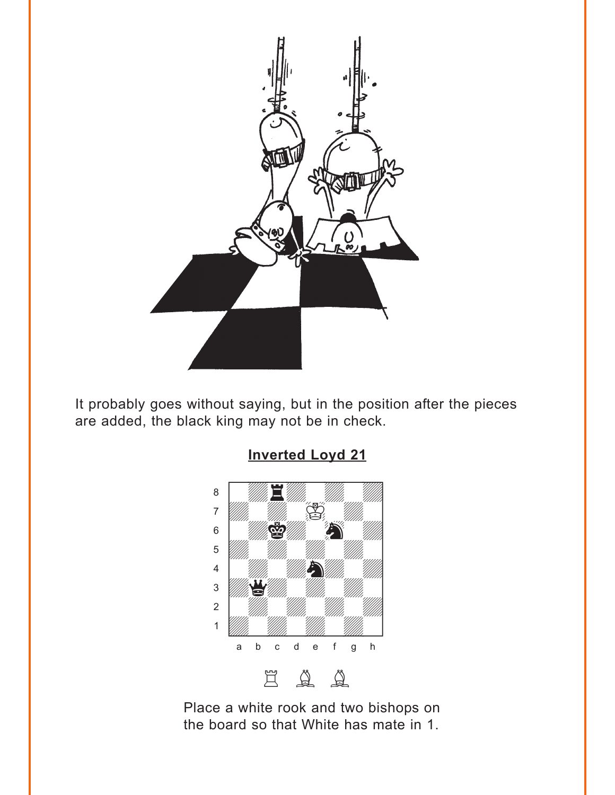<span id="page-1-0"></span>

It probably goes without saying, but in the position after the pieces are added, the black king may not be in check.



Place a white rook and two bishops on the board so that White has mate in 1.

### **Inverted Loyd 21**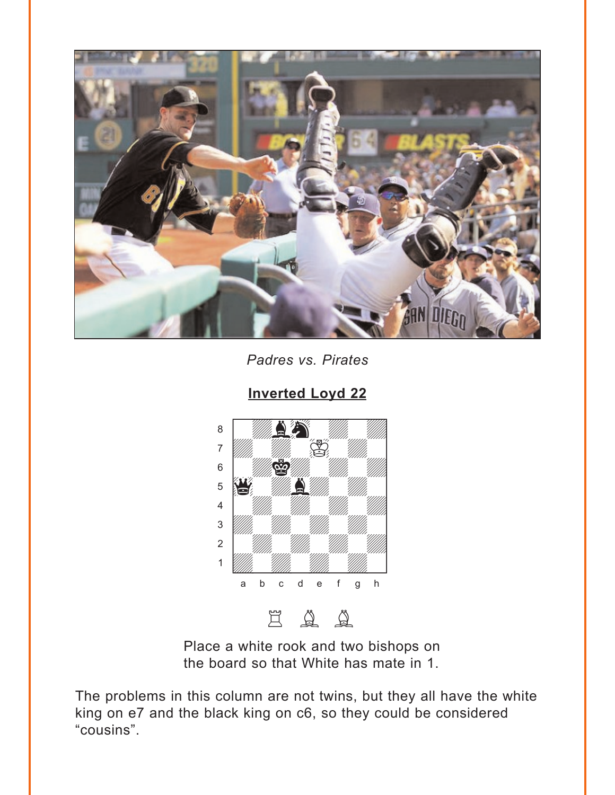<span id="page-2-0"></span>

Padres vs. Pirates

**Inverted Loyd 22** 



Place a white rook and two bishops on the board so that White has mate in 1.

The problems in this column are not twins, but they all have the white king on e7 and the black king on c6, so they could be considered "cousins".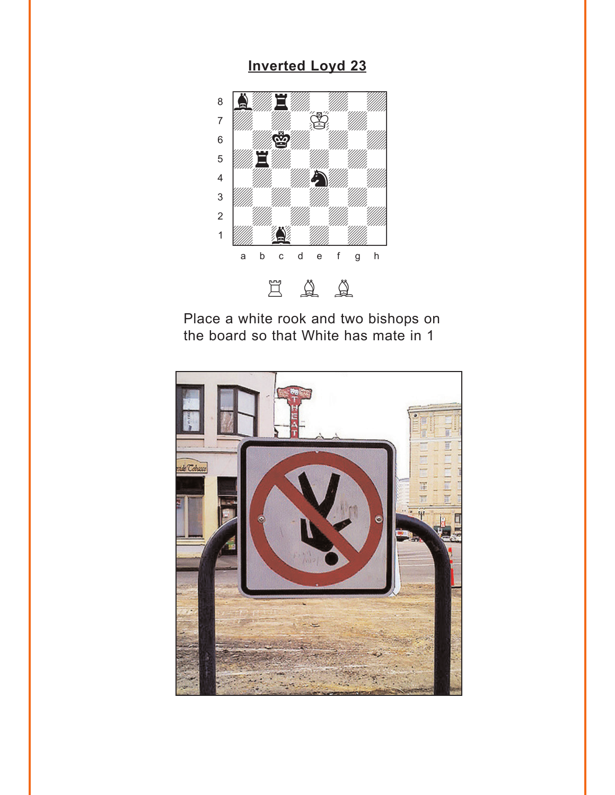## **Inverted Loyd 23**

<span id="page-3-0"></span>

Place a white rook and two bishops on the board so that White has mate in 1

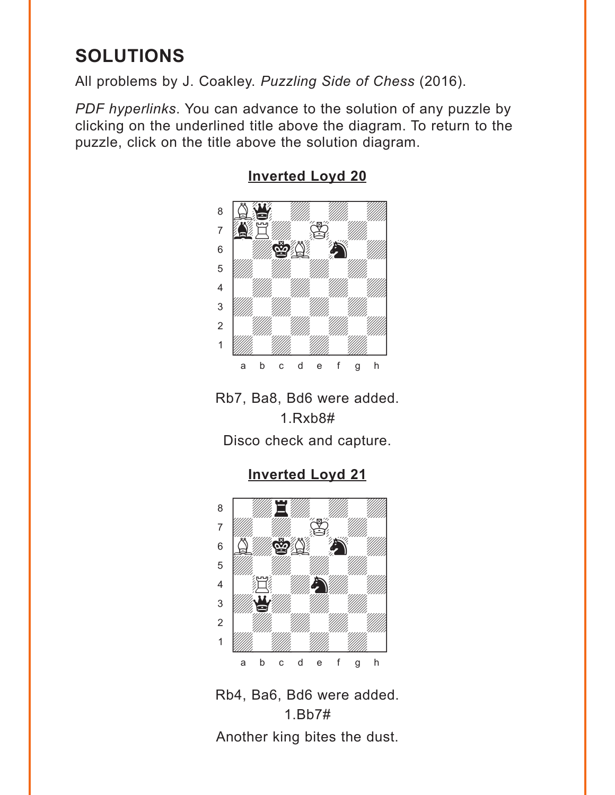# <span id="page-4-0"></span>**SOLUTIONS**

All problems by J. Coakley. *Puzzling Side of Chess* (2016).

*PDF hyperlinks*. You can advance to the solution of any puzzle by clicking on the underlined title above the diagram. To return to the puzzle, click on the title above the solution diagram.



### **[Inverted Loyd 20](#page-0-0)**

Rb7, Ba8, Bd6 were added. 1.Rxb8#

Disco check and capture.

**[Inverted Loyd 21](#page-1-0)**



Rb4, Ba6, Bd6 were added. 1.Bb7# Another king bites the dust.